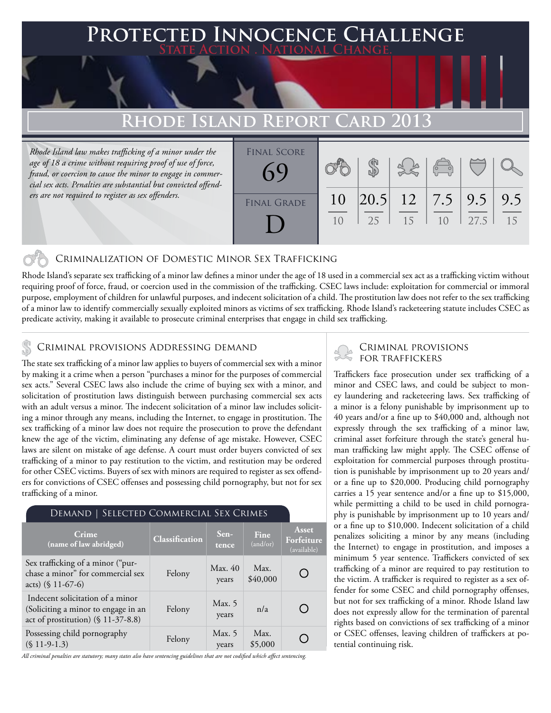### **FED INNOCENCE CHALLENGE State Action . National Change.**

# **Rhode Island Report Card 2013**

*Rhode Island law makes trafficking of a minor under the age of 18 a crime without requiring proof of use of force, fraud, or coercion to cause the minor to engage in commercial sex acts. Penalties are substantial but convicted offenders are not required to register as sex offenders.*



#### Criminalization of Domestic Minor Sex Trafficking

Rhode Island's separate sex trafficking of a minor law defines a minor under the age of 18 used in a commercial sex act as a trafficking victim without requiring proof of force, fraud, or coercion used in the commission of the trafficking. CSEC laws include: exploitation for commercial or immoral purpose, employment of children for unlawful purposes, and indecent solicitation of a child. The prostitution law does not refer to the sex trafficking of a minor law to identify commercially sexually exploited minors as victims of sex trafficking. Rhode Island's racketeering statute includes CSEC as predicate activity, making it available to prosecute criminal enterprises that engage in child sex trafficking.

# CRIMINAL PROVISIONS ADDRESSING DEMAND<br>FOR TRAFFICKERS

The state sex trafficking of a minor law applies to buyers of commercial sex with a minor by making it a crime when a person "purchases a minor for the purposes of commercial sex acts." Several CSEC laws also include the crime of buying sex with a minor, and solicitation of prostitution laws distinguish between purchasing commercial sex acts with an adult versus a minor. The indecent solicitation of a minor law includes soliciting a minor through any means, including the Internet, to engage in prostitution. The sex trafficking of a minor law does not require the prosecution to prove the defendant knew the age of the victim, eliminating any defense of age mistake. However, CSEC laws are silent on mistake of age defense. A court must order buyers convicted of sex trafficking of a minor to pay restitution to the victim, and restitution may be ordered for other CSEC victims. Buyers of sex with minors are required to register as sex offenders for convictions of CSEC offenses and possessing child pornography, but not for sex trafficking of a minor.

#### Demand | Selected Commercial Sex Crimes

| Crime<br>(name of law abridged)                                                                               | Classification | Sen-<br>tence    | Fine<br>(and/or) | Asset<br>Forfeiture<br>(available) |
|---------------------------------------------------------------------------------------------------------------|----------------|------------------|------------------|------------------------------------|
| Sex trafficking of a minor ("pur-<br>chase a minor" for commercial sex<br>acts) $(\$ 11-67-6)$                | Felony         | Max. 40<br>years | Max.<br>\$40,000 |                                    |
| Indecent solicitation of a minor<br>(Soliciting a minor to engage in an<br>act of prostitution) (§ 11-37-8.8) | Felony         | Max. 5<br>years  | n/a              |                                    |
| Possessing child pornography<br>$(S 11-9-1.3)$                                                                | Felony         | Max. 5<br>years  | Max.<br>\$5,000  |                                    |

*All criminal penalties are statutory; many states also have sentencing guidelines that are not codified which affect sentencing.* 

# Criminal provisions

Traffickers face prosecution under sex trafficking of a minor and CSEC laws, and could be subject to money laundering and racketeering laws. Sex trafficking of a minor is a felony punishable by imprisonment up to 40 years and/or a fine up to \$40,000 and, although not expressly through the sex trafficking of a minor law, criminal asset forfeiture through the state's general human trafficking law might apply. The CSEC offense of exploitation for commercial purposes through prostitution is punishable by imprisonment up to 20 years and/ or a fine up to \$20,000. Producing child pornography carries a 15 year sentence and/or a fine up to \$15,000, while permitting a child to be used in child pornography is punishable by imprisonment up to 10 years and/ or a fine up to \$10,000. Indecent solicitation of a child penalizes soliciting a minor by any means (including the Internet) to engage in prostitution, and imposes a minimum 5 year sentence. Traffickers convicted of sex trafficking of a minor are required to pay restitution to the victim. A trafficker is required to register as a sex offender for some CSEC and child pornography offenses, but not for sex trafficking of a minor. Rhode Island law does not expressly allow for the termination of parental rights based on convictions of sex trafficking of a minor or CSEC offenses, leaving children of traffickers at potential continuing risk.